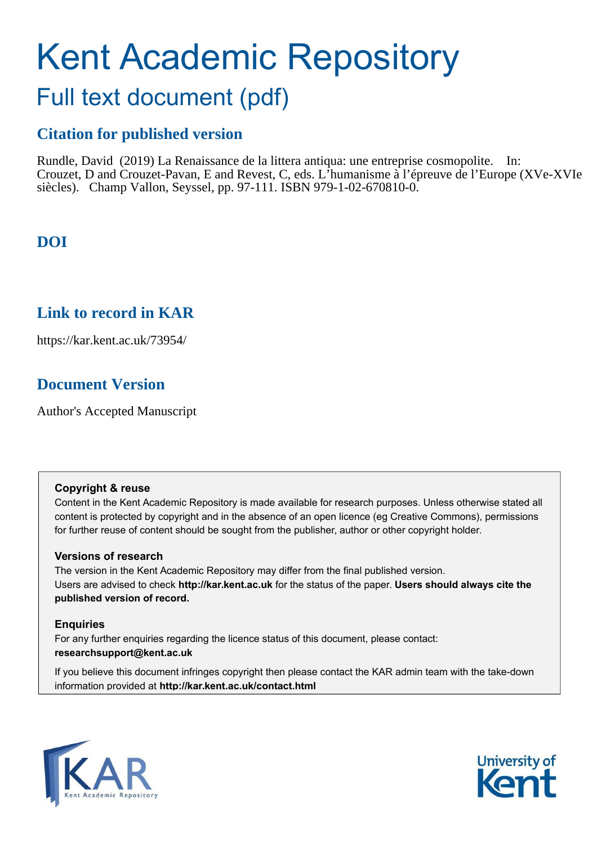# Kent Academic Repository

## Full text document (pdf)

## **Citation for published version**

Rundle, David (2019) La Renaissance de la littera antiqua: une entreprise cosmopolite. In: Crouzet, D and Crouzet-Pavan, E and Revest, C, eds. L'humanisme à l'épreuve de l'Europe (XVe-XVIe siècles). Champ Vallon, Seyssel, pp. 97-111. ISBN 979-1-02-670810-0.

## **DOI**

### **Link to record in KAR**

https://kar.kent.ac.uk/73954/

## **Document Version**

Author's Accepted Manuscript

#### **Copyright & reuse**

Content in the Kent Academic Repository is made available for research purposes. Unless otherwise stated all content is protected by copyright and in the absence of an open licence (eg Creative Commons), permissions for further reuse of content should be sought from the publisher, author or other copyright holder.

#### **Versions of research**

The version in the Kent Academic Repository may differ from the final published version. Users are advised to check **http://kar.kent.ac.uk** for the status of the paper. **Users should always cite the published version of record.**

#### **Enquiries**

For any further enquiries regarding the licence status of this document, please contact: **researchsupport@kent.ac.uk**

If you believe this document infringes copyright then please contact the KAR admin team with the take-down information provided at **http://kar.kent.ac.uk/contact.html**



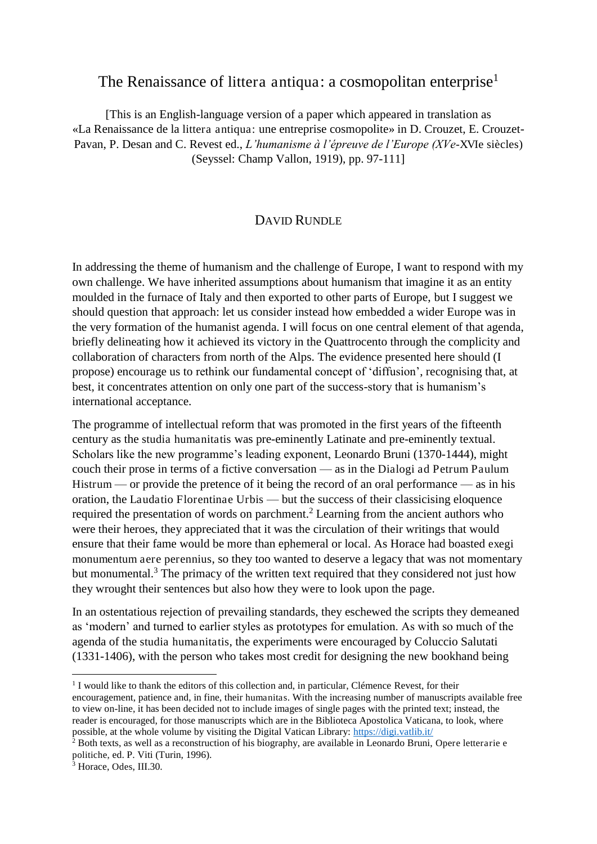#### The Renaissance of littera antiqua: a cosmopolitan enterprise<sup>1</sup>

[This is an English-language version of a paper which appeared in translation as «La Renaissance de la littera antiqua: une entreprise cosmopolite» in D. Crouzet, E. Crouzet-Pavan, P. Desan and C. Revest ed., *L'humanisme à l'épreuve de l'Europe (XVe*-XVIe siècles) (Seyssel: Champ Vallon, 1919), pp. 97-111]

#### DAVID RUNDLE

In addressing the theme of humanism and the challenge of Europe, I want to respond with my own challenge. We have inherited assumptions about humanism that imagine it as an entity moulded in the furnace of Italy and then exported to other parts of Europe, but I suggest we should question that approach: let us consider instead how embedded a wider Europe was in the very formation of the humanist agenda. I will focus on one central element of that agenda, briefly delineating how it achieved its victory in the Quattrocento through the complicity and collaboration of characters from north of the Alps. The evidence presented here should (I propose) encourage us to rethink our fundamental concept of 'diffusion', recognising that, at best, it concentrates attention on only one part of the success-story that is humanism's international acceptance.

The programme of intellectual reform that was promoted in the first years of the fifteenth century as the studia humanitatis was pre-eminently Latinate and pre-eminently textual. Scholars like the new programme's leading exponent, Leonardo Bruni (1370-1444), might couch their prose in terms of a fictive conversation — as in the Dialogi ad Petrum Paulum Histrum — or provide the pretence of it being the record of an oral performance — as in his oration, the Laudatio Florentinae Urbis — but the success of their classicising eloquence required the presentation of words on parchment.<sup>2</sup> Learning from the ancient authors who were their heroes, they appreciated that it was the circulation of their writings that would ensure that their fame would be more than ephemeral or local. As Horace had boasted exegi monumentum aere perennius, so they too wanted to deserve a legacy that was not momentary but monumental. $3$  The primacy of the written text required that they considered not just how they wrought their sentences but also how they were to look upon the page.

In an ostentatious rejection of prevailing standards, they eschewed the scripts they demeaned as 'modern' and turned to earlier styles as prototypes for emulation. As with so much of the agenda of the studia humanitatis, the experiments were encouraged by Coluccio Salutati (1331-1406), with the person who takes most credit for designing the new bookhand being

3 Horace, Odes, III.30.

<sup>&</sup>lt;sup>1</sup> I would like to thank the editors of this collection and, in particular, Clémence Revest, for their encouragement, patience and, in fine, their humanitas. With the increasing number of manuscripts available free to view on-line, it has been decided not to include images of single pages with the printed text; instead, the reader is encouraged, for those manuscripts which are in the Biblioteca Apostolica Vaticana, to look, where possible, at the whole volume by visiting the Digital Vatican Library: **https://digi.vatlib.it/**<br><sup>2</sup> Both texts, as well as a reconstruction of his biography, are available in Leonardo Bruni, Opere letterarie e

politiche, ed. P. Viti (Turin, 1996).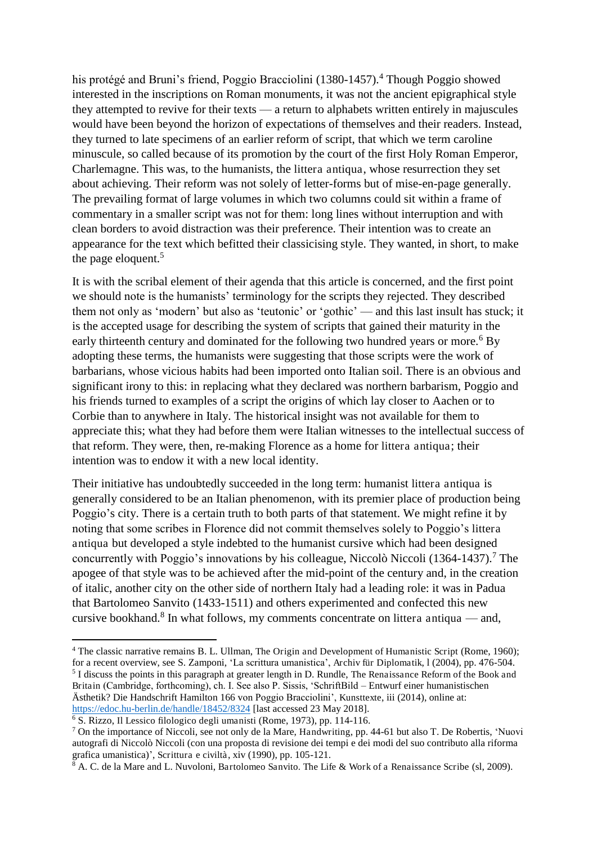his protégé and Bruni's friend, Poggio Bracciolini (1380-1457).<sup>4</sup> Though Poggio showed interested in the inscriptions on Roman monuments, it was not the ancient epigraphical style they attempted to revive for their texts — a return to alphabets written entirely in majuscules would have been beyond the horizon of expectations of themselves and their readers. Instead, they turned to late specimens of an earlier reform of script, that which we term caroline minuscule, so called because of its promotion by the court of the first Holy Roman Emperor, Charlemagne. This was, to the humanists, the littera antiqua, whose resurrection they set about achieving. Their reform was not solely of letter-forms but of mise-en-page generally. The prevailing format of large volumes in which two columns could sit within a frame of commentary in a smaller script was not for them: long lines without interruption and with clean borders to avoid distraction was their preference. Their intention was to create an appearance for the text which befitted their classicising style. They wanted, in short, to make the page eloquent.<sup>5</sup>

It is with the scribal element of their agenda that this article is concerned, and the first point we should note is the humanists' terminology for the scripts they rejected. They described them not only as 'modern' but also as 'teutonic' or 'gothic' — and this last insult has stuck; it is the accepted usage for describing the system of scripts that gained their maturity in the early thirteenth century and dominated for the following two hundred years or more.<sup>6</sup> By adopting these terms, the humanists were suggesting that those scripts were the work of barbarians, whose vicious habits had been imported onto Italian soil. There is an obvious and significant irony to this: in replacing what they declared was northern barbarism, Poggio and his friends turned to examples of a script the origins of which lay closer to Aachen or to Corbie than to anywhere in Italy. The historical insight was not available for them to appreciate this; what they had before them were Italian witnesses to the intellectual success of that reform. They were, then, re-making Florence as a home for littera antiqua; their intention was to endow it with a new local identity.

Their initiative has undoubtedly succeeded in the long term: humanist littera antiqua is generally considered to be an Italian phenomenon, with its premier place of production being Poggio's city. There is a certain truth to both parts of that statement. We might refine it by noting that some scribes in Florence did not commit themselves solely to Poggio's littera antiqua but developed a style indebted to the humanist cursive which had been designed concurrently with Poggio's innovations by his colleague, Niccolò Niccoli (1364-1437).<sup>7</sup> The apogee of that style was to be achieved after the mid-point of the century and, in the creation of italic, another city on the other side of northern Italy had a leading role: it was in Padua that Bartolomeo Sanvito (1433-1511) and others experimented and confected this new cursive bookhand.<sup>8</sup> In what follows, my comments concentrate on littera antiqua — and,

<sup>&</sup>lt;sup>4</sup> The classic narrative remains B. L. Ullman, The Origin and Development of Humanistic Script (Rome, 1960); for a recent overview, see S. Zamponi, 'La scrittura umanistica', Archiv für Diplomatik, l (2004), pp. 476-504. <sup>5</sup> I discuss the points in this paragraph at greater length in D. Rundle, The Renaissance Reform of the Book and Britain (Cambridge, forthcoming), ch. I. See also P. Sissis, 'SchriftBild – Entwurf einer humanistischen Ästhetik? Die Handschrift Hamilton 166 von Poggio Bracciolini', Kunsttexte, iii (2014), online at: <https://edoc.hu-berlin.de/handle/18452/8324>[last accessed 23 May 2018].

<sup>6</sup> S. Rizzo, Il Lessico filologico degli umanisti (Rome, 1973), pp. 114-116.

<sup>&</sup>lt;sup>7</sup> On the importance of Niccoli, see not only de la Mare, Handwriting, pp. 44-61 but also T. De Robertis, 'Nuovi autografi di Niccolò Niccoli (con una proposta di revisione dei tempi e dei modi del suo contributo alla riforma grafica umanistica)', Scrittura e civiltà, xiv (1990), pp. 105-121.

<sup>&</sup>lt;sup>8</sup> A. C. de la Mare and L. Nuvoloni, Bartolomeo Sanvito. The Life & Work of a Renaissance Scribe (sl, 2009).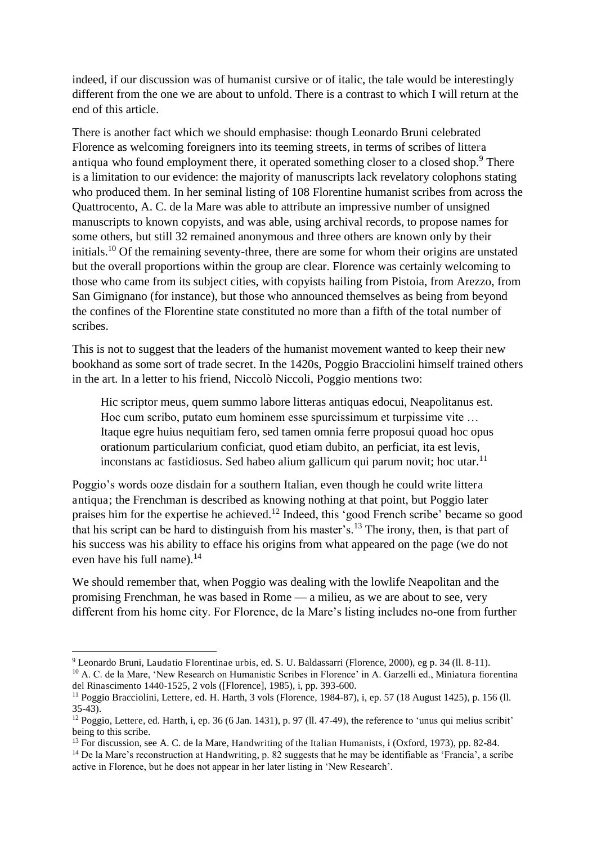indeed, if our discussion was of humanist cursive or of italic, the tale would be interestingly different from the one we are about to unfold. There is a contrast to which I will return at the end of this article.

There is another fact which we should emphasise: though Leonardo Bruni celebrated Florence as welcoming foreigners into its teeming streets, in terms of scribes of littera antiqua who found employment there, it operated something closer to a closed shop.<sup>9</sup> There is a limitation to our evidence: the majority of manuscripts lack revelatory colophons stating who produced them. In her seminal listing of 108 Florentine humanist scribes from across the Quattrocento, A. C. de la Mare was able to attribute an impressive number of unsigned manuscripts to known copyists, and was able, using archival records, to propose names for some others, but still 32 remained anonymous and three others are known only by their initials.<sup>10</sup> Of the remaining seventy-three, there are some for whom their origins are unstated but the overall proportions within the group are clear. Florence was certainly welcoming to those who came from its subject cities, with copyists hailing from Pistoia, from Arezzo, from San Gimignano (for instance), but those who announced themselves as being from beyond the confines of the Florentine state constituted no more than a fifth of the total number of scribes.

This is not to suggest that the leaders of the humanist movement wanted to keep their new bookhand as some sort of trade secret. In the 1420s, Poggio Bracciolini himself trained others in the art. In a letter to his friend, Niccolò Niccoli, Poggio mentions two:

Hic scriptor meus, quem summo labore litteras antiquas edocui, Neapolitanus est. Hoc cum scribo, putato eum hominem esse spurcissimum et turpissime vite … Itaque egre huius nequitiam fero, sed tamen omnia ferre proposui quoad hoc opus orationum particularium conficiat, quod etiam dubito, an perficiat, ita est levis, inconstans ac fastidiosus. Sed habeo alium gallicum qui parum novit; hoc utar. $11$ 

Poggio's words ooze disdain for a southern Italian, even though he could write littera antiqua; the Frenchman is described as knowing nothing at that point, but Poggio later praises him for the expertise he achieved.<sup>12</sup> Indeed, this 'good French scribe' became so good that his script can be hard to distinguish from his master's.<sup>13</sup> The irony, then, is that part of his success was his ability to efface his origins from what appeared on the page (we do not even have his full name).<sup>14</sup>

We should remember that, when Poggio was dealing with the lowlife Neapolitan and the promising Frenchman, he was based in Rome — a milieu, as we are about to see, very different from his home city. For Florence, de la Mare's listing includes no-one from further

<sup>&</sup>lt;sup>9</sup> Leonardo Bruni, Laudatio Florentinae urbis, ed. S. U. Baldassarri (Florence, 2000), eg p. 34 (ll. 8-11).

<sup>&</sup>lt;sup>10</sup> A. C. de la Mare, 'New Research on Humanistic Scribes in Florence' in A. Garzelli ed., Miniatura fiorentina del Rinascimento 1440-1525, 2 vols ([Florence], 1985), i, pp. 393-600.

<sup>11</sup> Poggio Bracciolini, Lettere, ed. H. Harth, 3 vols (Florence, 1984-87), i, ep. 57 (18 August 1425), p. 156 (ll. 35-43).

<sup>&</sup>lt;sup>12</sup> Poggio, Lettere, ed. Harth, i, ep. 36 (6 Jan. 1431), p. 97 (ll. 47-49), the reference to 'unus qui melius scribit' being to this scribe.

<sup>13</sup> For discussion, see A. C. de la Mare, Handwriting of the Italian Humanists, i (Oxford, 1973), pp. 82-84.

<sup>&</sup>lt;sup>14</sup> De la Mare's reconstruction at Handwriting, p. 82 suggests that he may be identifiable as 'Francia', a scribe active in Florence, but he does not appear in her later listing in 'New Research'.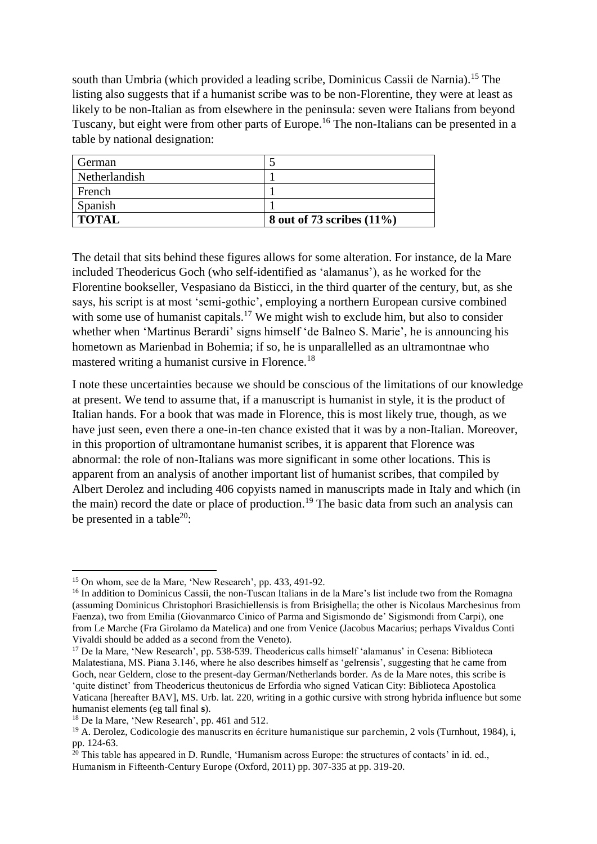south than Umbria (which provided a leading scribe, Dominicus Cassii de Narnia).<sup>15</sup> The listing also suggests that if a humanist scribe was to be non-Florentine, they were at least as likely to be non-Italian as from elsewhere in the peninsula: seven were Italians from beyond Tuscany, but eight were from other parts of Europe.<sup>16</sup> The non-Italians can be presented in a table by national designation:

| German        |                              |
|---------------|------------------------------|
| Netherlandish |                              |
| French        |                              |
| Spanish       |                              |
| <b>TOTAL</b>  | 8 out of 73 scribes $(11\%)$ |

The detail that sits behind these figures allows for some alteration. For instance, de la Mare included Theodericus Goch (who self-identified as 'alamanus'), as he worked for the Florentine bookseller, Vespasiano da Bisticci, in the third quarter of the century, but, as she says, his script is at most 'semi-gothic', employing a northern European cursive combined with some use of humanist capitals.<sup>17</sup> We might wish to exclude him, but also to consider whether when 'Martinus Berardi' signs himself 'de Balneo S. Marie', he is announcing his hometown as Marienbad in Bohemia; if so, he is unparallelled as an ultramontnae who mastered writing a humanist cursive in Florence.<sup>18</sup>

I note these uncertainties because we should be conscious of the limitations of our knowledge at present. We tend to assume that, if a manuscript is humanist in style, it is the product of Italian hands. For a book that was made in Florence, this is most likely true, though, as we have just seen, even there a one-in-ten chance existed that it was by a non-Italian. Moreover, in this proportion of ultramontane humanist scribes, it is apparent that Florence was abnormal: the role of non-Italians was more significant in some other locations. This is apparent from an analysis of another important list of humanist scribes, that compiled by Albert Derolez and including 406 copyists named in manuscripts made in Italy and which (in the main) record the date or place of production.<sup>19</sup> The basic data from such an analysis can be presented in a table<sup>20</sup>:

<sup>17</sup> De la Mare, 'New Research', pp. 538-539. Theodericus calls himself 'alamanus' in Cesena: Biblioteca Malatestiana, MS. Piana 3.146, where he also describes himself as 'gelrensis', suggesting that he came from Goch, near Geldern, close to the present-day German/Netherlands border. As de la Mare notes, this scribe is 'quite distinct' from Theodericus theutonicus de Erfordia who signed Vatican City: Biblioteca Apostolica Vaticana [hereafter BAV], MS. Urb. lat. 220, writing in a gothic cursive with strong hybrida influence but some humanist elements (eg tall final **s**).

<sup>&</sup>lt;sup>15</sup> On whom, see de la Mare, 'New Research', pp. 433, 491-92.

<sup>&</sup>lt;sup>16</sup> In addition to Dominicus Cassii, the non-Tuscan Italians in de la Mare's list include two from the Romagna (assuming Dominicus Christophori Brasichiellensis is from Brisighella; the other is Nicolaus Marchesinus from Faenza), two from Emilia (Giovanmarco Cinico of Parma and Sigismondo de' Sigismondi from Carpi), one from Le Marche (Fra Girolamo da Matelica) and one from Venice (Jacobus Macarius; perhaps Vivaldus Conti Vivaldi should be added as a second from the Veneto).

<sup>18</sup> De la Mare, 'New Research', pp. 461 and 512.

<sup>19</sup> A. Derolez, Codicologie des manuscrits en écriture humanistique sur parchemin, 2 vols (Turnhout, 1984), i, pp. 124-63.

 $\frac{20}{20}$  This table has appeared in D. Rundle, 'Humanism across Europe: the structures of contacts' in id. ed., Humanism in Fifteenth-Century Europe (Oxford, 2011) pp. 307-335 at pp. 319-20.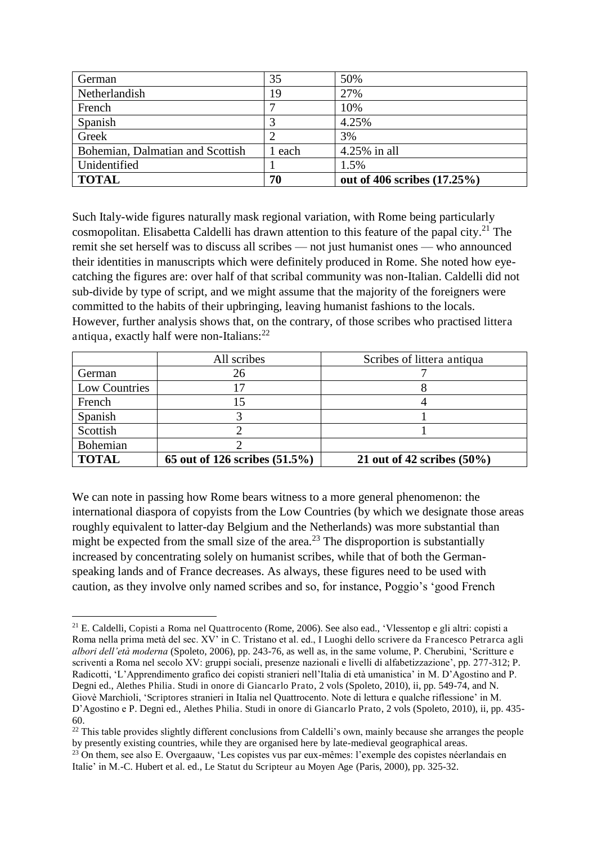| German                           | 35     | 50%                            |
|----------------------------------|--------|--------------------------------|
| Netherlandish                    | 19     | 27%                            |
| French                           |        | 10%                            |
| Spanish                          |        | 4.25%                          |
| Greek                            |        | 3%                             |
| Bohemian, Dalmatian and Scottish | l each | 4.25% in all                   |
| Unidentified                     |        | 1.5%                           |
| <b>TOTAL</b>                     | 70     | out of 406 scribes $(17.25\%)$ |

Such Italy-wide figures naturally mask regional variation, with Rome being particularly cosmopolitan. Elisabetta Caldelli has drawn attention to this feature of the papal city.<sup>21</sup> The remit she set herself was to discuss all scribes — not just humanist ones — who announced their identities in manuscripts which were definitely produced in Rome. She noted how eyecatching the figures are: over half of that scribal community was non-Italian. Caldelli did not sub-divide by type of script, and we might assume that the majority of the foreigners were committed to the habits of their upbringing, leaving humanist fashions to the locals. However, further analysis shows that, on the contrary, of those scribes who practised littera antiqua, exactly half were non-Italians: $^{22}$ 

|               | All scribes                      | Scribes of littera antiqua    |
|---------------|----------------------------------|-------------------------------|
| German        | 26                               |                               |
| Low Countries |                                  |                               |
| French        |                                  |                               |
| Spanish       |                                  |                               |
| Scottish      |                                  |                               |
| Bohemian      |                                  |                               |
| <b>TOTAL</b>  | 65 out of 126 scribes $(51.5\%)$ | 21 out of 42 scribes $(50\%)$ |

We can note in passing how Rome bears witness to a more general phenomenon: the international diaspora of copyists from the Low Countries (by which we designate those areas roughly equivalent to latter-day Belgium and the Netherlands) was more substantial than might be expected from the small size of the area.<sup>23</sup> The disproportion is substantially increased by concentrating solely on humanist scribes, while that of both the Germanspeaking lands and of France decreases. As always, these figures need to be used with caution, as they involve only named scribes and so, for instance, Poggio's 'good French

 $2^{1}$  E. Caldelli, Copisti a Roma nel Quattrocento (Rome, 2006). See also ead., 'Vlessentop e gli altri: copisti a Roma nella prima metà del sec. XV' in C. Tristano et al. ed., I Luoghi dello scrivere da Francesco Petrarca agli *albori dell'età moderna* (Spoleto, 2006), pp. 243-76, as well as, in the same volume, P. Cherubini, 'Scritture e scriventi a Roma nel secolo XV: gruppi sociali, presenze nazionali e livelli di alfabetizzazione', pp. 277-312; P. Radicotti, 'L'Apprendimento grafico dei copisti stranieri nell'Italia di età umanistica' in M. D'Agostino and P. Degni ed., Alethes Philia. Studi in onore di Giancarlo Prato, 2 vols (Spoleto, 2010), ii, pp. 549-74, and N. Giovè Marchioli, 'Scriptores stranieri in Italia nel Quattrocento. Note di lettura e qualche riflessione' in M. D'Agostino e P. Degni ed., Alethes Philia. Studi in onore di Giancarlo Prato, 2 vols (Spoleto, 2010), ii, pp. 435- 60.

<sup>&</sup>lt;sup>22</sup> This table provides slightly different conclusions from Caldelli's own, mainly because she arranges the people by presently existing countries, while they are organised here by late-medieval geographical areas.

<sup>23</sup> On them, see also E. Overgaauw, 'Les copistes vus par eux-mêmes: l'exemple des copistes néerlandais en Italie' in M.-C. Hubert et al. ed., Le Statut du Scripteur au Moyen Age (Paris, 2000), pp. 325-32.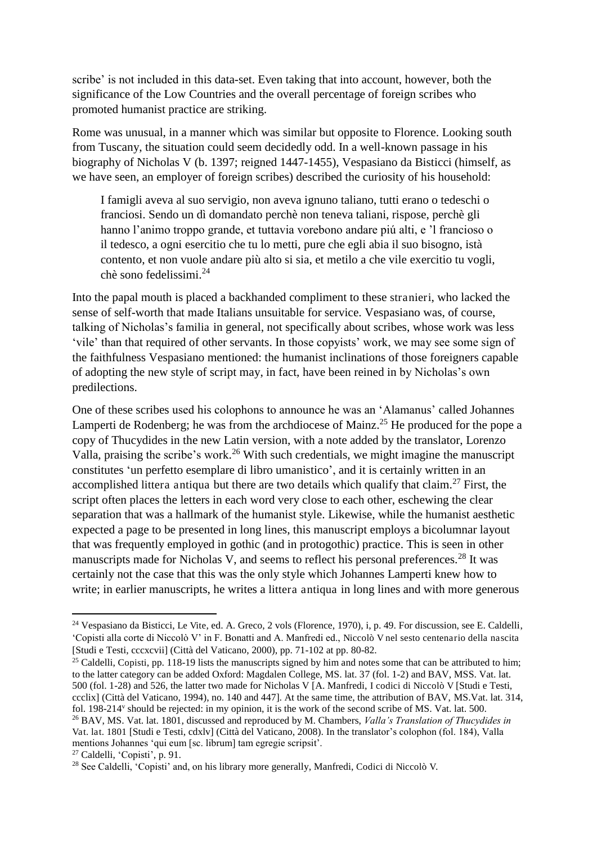scribe' is not included in this data-set. Even taking that into account, however, both the significance of the Low Countries and the overall percentage of foreign scribes who promoted humanist practice are striking.

Rome was unusual, in a manner which was similar but opposite to Florence. Looking south from Tuscany, the situation could seem decidedly odd. In a well-known passage in his biography of Nicholas V (b. 1397; reigned 1447-1455), Vespasiano da Bisticci (himself, as we have seen, an employer of foreign scribes) described the curiosity of his household:

I famigli aveva al suo servigio, non aveva ignuno taliano, tutti erano o tedeschi o franciosi. Sendo un dì domandato perchè non teneva taliani, rispose, perchè gli hanno l'animo troppo grande, et tuttavia vorebono andare piú alti, e 'l francioso o il tedesco, a ogni esercitio che tu lo metti, pure che egli abia il suo bisogno, istà contento, et non vuole andare più alto si sia, et metilo a che vile exercitio tu vogli, chè sono fedelissimi.<sup>24</sup>

Into the papal mouth is placed a backhanded compliment to these stranieri, who lacked the sense of self-worth that made Italians unsuitable for service. Vespasiano was, of course, talking of Nicholas's familia in general, not specifically about scribes, whose work was less 'vile' than that required of other servants. In those copyists' work, we may see some sign of the faithfulness Vespasiano mentioned: the humanist inclinations of those foreigners capable of adopting the new style of script may, in fact, have been reined in by Nicholas's own predilections.

One of these scribes used his colophons to announce he was an 'Alamanus' called Johannes Lamperti de Rodenberg; he was from the archdiocese of Mainz.<sup>25</sup> He produced for the pope a copy of Thucydides in the new Latin version, with a note added by the translator, Lorenzo Valla, praising the scribe's work.<sup>26</sup> With such credentials, we might imagine the manuscript constitutes 'un perfetto esemplare di libro umanistico', and it is certainly written in an accomplished littera antiqua but there are two details which qualify that claim.<sup>27</sup> First, the script often places the letters in each word very close to each other, eschewing the clear separation that was a hallmark of the humanist style. Likewise, while the humanist aesthetic expected a page to be presented in long lines, this manuscript employs a bicolumnar layout that was frequently employed in gothic (and in protogothic) practice. This is seen in other manuscripts made for Nicholas V, and seems to reflect his personal preferences.<sup>28</sup> It was certainly not the case that this was the only style which Johannes Lamperti knew how to write; in earlier manuscripts, he writes a littera antiqua in long lines and with more generous

<sup>24</sup> Vespasiano da Bisticci, Le Vite, ed. A. Greco, 2 vols (Florence, 1970), i, p. 49. For discussion, see E. Caldelli, 'Copisti alla corte di Niccolò V' in F. Bonatti and A. Manfredi ed., Niccolò V nel sesto centenario della nascita [Studi e Testi, cccxcvii] (Città del Vaticano, 2000), pp. 71-102 at pp. 80-82.

<sup>&</sup>lt;sup>25</sup> Caldelli, Copisti, pp. 118-19 lists the manuscripts signed by him and notes some that can be attributed to him; to the latter category can be added Oxford: Magdalen College, MS. lat. 37 (fol. 1-2) and BAV, MSS. Vat. lat. 500 (fol. 1-28) and 526, the latter two made for Nicholas V [A. Manfredi, I codici di Niccolò V [Studi e Testi, ccclix] (Città del Vaticano, 1994), no. 140 and 447]. At the same time, the attribution of BAV, MS.Vat. lat. 314, fol. 198-214<sup>v</sup> should be rejected: in my opinion, it is the work of the second scribe of MS. Vat. lat. 500. <sup>26</sup> BAV, MS. Vat. lat. 1801, discussed and reproduced by M. Chambers, *Valla's Translation of Thucydides in*  Vat. lat. 1801 [Studi e Testi, cdxlv] (Città del Vaticano, 2008). In the translator's colophon (fol. 184), Valla

mentions Johannes 'qui eum [sc. librum] tam egregie scripsit'.

<sup>27</sup> Caldelli, 'Copisti', p. 91.

<sup>28</sup> See Caldelli, 'Copisti' and, on his library more generally, Manfredi, Codici di Niccolò V.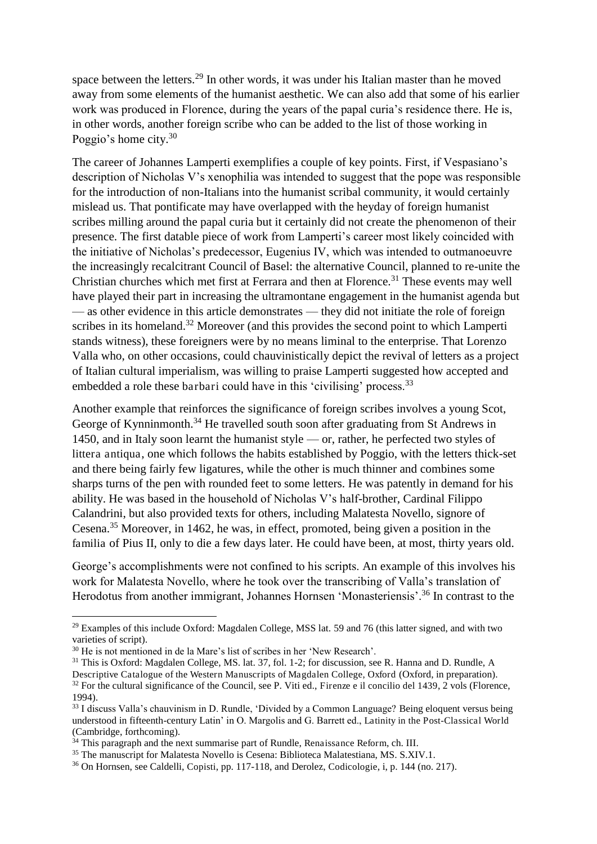space between the letters.<sup>29</sup> In other words, it was under his Italian master than he moved away from some elements of the humanist aesthetic. We can also add that some of his earlier work was produced in Florence, during the years of the papal curia's residence there. He is, in other words, another foreign scribe who can be added to the list of those working in Poggio's home city.<sup>30</sup>

The career of Johannes Lamperti exemplifies a couple of key points. First, if Vespasiano's description of Nicholas V's xenophilia was intended to suggest that the pope was responsible for the introduction of non-Italians into the humanist scribal community, it would certainly mislead us. That pontificate may have overlapped with the heyday of foreign humanist scribes milling around the papal curia but it certainly did not create the phenomenon of their presence. The first datable piece of work from Lamperti's career most likely coincided with the initiative of Nicholas's predecessor, Eugenius IV, which was intended to outmanoeuvre the increasingly recalcitrant Council of Basel: the alternative Council, planned to re-unite the Christian churches which met first at Ferrara and then at Florence.<sup>31</sup> These events may well have played their part in increasing the ultramontane engagement in the humanist agenda but — as other evidence in this article demonstrates — they did not initiate the role of foreign scribes in its homeland.<sup>32</sup> Moreover (and this provides the second point to which Lamperti stands witness), these foreigners were by no means liminal to the enterprise. That Lorenzo Valla who, on other occasions, could chauvinistically depict the revival of letters as a project of Italian cultural imperialism, was willing to praise Lamperti suggested how accepted and embedded a role these barbari could have in this 'civilising' process.<sup>33</sup>

Another example that reinforces the significance of foreign scribes involves a young Scot, George of Kynninmonth.<sup>34</sup> He travelled south soon after graduating from St Andrews in 1450, and in Italy soon learnt the humanist style — or, rather, he perfected two styles of littera antiqua, one which follows the habits established by Poggio, with the letters thick-set and there being fairly few ligatures, while the other is much thinner and combines some sharps turns of the pen with rounded feet to some letters. He was patently in demand for his ability. He was based in the household of Nicholas V's half-brother, Cardinal Filippo Calandrini, but also provided texts for others, including Malatesta Novello, signore of Cesena.<sup>35</sup> Moreover, in 1462, he was, in effect, promoted, being given a position in the familia of Pius II, only to die a few days later. He could have been, at most, thirty years old.

George's accomplishments were not confined to his scripts. An example of this involves his work for Malatesta Novello, where he took over the transcribing of Valla's translation of Herodotus from another immigrant, Johannes Hornsen 'Monasteriensis'.<sup>36</sup> In contrast to the

 $^{29}$  Examples of this include Oxford: Magdalen College, MSS lat. 59 and 76 (this latter signed, and with two varieties of script).

<sup>30</sup> He is not mentioned in de la Mare's list of scribes in her 'New Research'.

<sup>&</sup>lt;sup>31</sup> This is Oxford: Magdalen College, MS. lat. 37, fol. 1-2; for discussion, see R. Hanna and D. Rundle, A Descriptive Catalogue of the Western Manuscripts of Magdalen College, Oxford (Oxford, in preparation).  $32$  For the cultural significance of the Council, see P. Viti ed., Firenze e il concilio del 1439,  $2$  vols (Florence, 1994).

<sup>33</sup> I discuss Valla's chauvinism in D. Rundle, 'Divided by a Common Language? Being eloquent versus being understood in fifteenth-century Latin' in O. Margolis and G. Barrett ed., Latinity in the Post-Classical World (Cambridge, forthcoming).

 $34$  This paragraph and the next summarise part of Rundle, Renaissance Reform, ch. III.

<sup>&</sup>lt;sup>35</sup> The manuscript for Malatesta Novello is Cesena: Biblioteca Malatestiana, MS. S.XIV.1.

<sup>36</sup> On Hornsen, see Caldelli, Copisti, pp. 117-118, and Derolez, Codicologie, i, p. 144 (no. 217).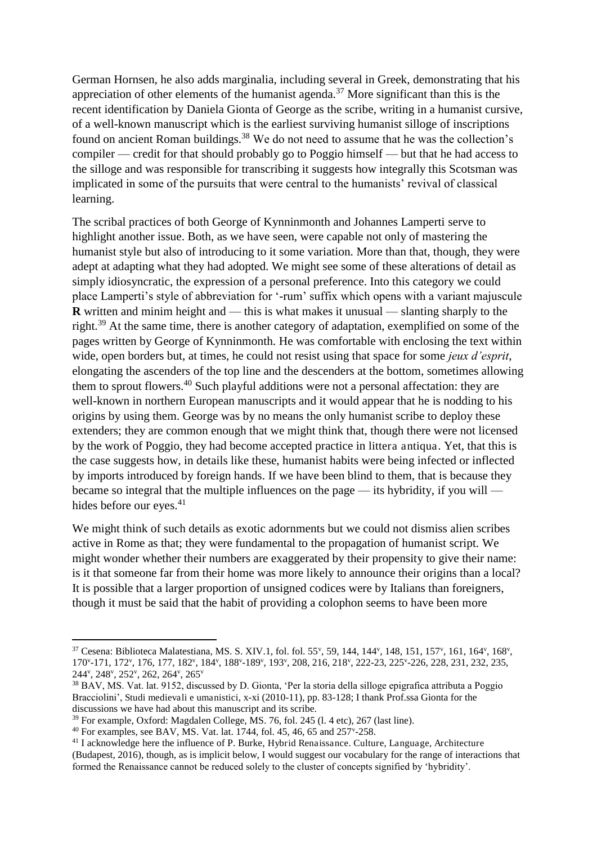German Hornsen, he also adds marginalia, including several in Greek, demonstrating that his appreciation of other elements of the humanist agenda.<sup>37</sup> More significant than this is the recent identification by Daniela Gionta of George as the scribe, writing in a humanist cursive, of a well-known manuscript which is the earliest surviving humanist silloge of inscriptions found on ancient Roman buildings.<sup>38</sup> We do not need to assume that he was the collection's compiler — credit for that should probably go to Poggio himself — but that he had access to the silloge and was responsible for transcribing it suggests how integrally this Scotsman was implicated in some of the pursuits that were central to the humanists' revival of classical learning.

The scribal practices of both George of Kynninmonth and Johannes Lamperti serve to highlight another issue. Both, as we have seen, were capable not only of mastering the humanist style but also of introducing to it some variation. More than that, though, they were adept at adapting what they had adopted. We might see some of these alterations of detail as simply idiosyncratic, the expression of a personal preference. Into this category we could place Lamperti's style of abbreviation for '-rum' suffix which opens with a variant majuscule **R** written and minim height and — this is what makes it unusual — slanting sharply to the right.<sup>39</sup> At the same time, there is another category of adaptation, exemplified on some of the pages written by George of Kynninmonth. He was comfortable with enclosing the text within wide, open borders but, at times, he could not resist using that space for some *jeux d'esprit*, elongating the ascenders of the top line and the descenders at the bottom, sometimes allowing them to sprout flowers.<sup>40</sup> Such playful additions were not a personal affectation: they are well-known in northern European manuscripts and it would appear that he is nodding to his origins by using them. George was by no means the only humanist scribe to deploy these extenders; they are common enough that we might think that, though there were not licensed by the work of Poggio, they had become accepted practice in littera antiqua. Yet, that this is the case suggests how, in details like these, humanist habits were being infected or inflected by imports introduced by foreign hands. If we have been blind to them, that is because they became so integral that the multiple influences on the page — its hybridity, if you will hides before our eyes. $41$ 

We might think of such details as exotic adornments but we could not dismiss alien scribes active in Rome as that; they were fundamental to the propagation of humanist script. We might wonder whether their numbers are exaggerated by their propensity to give their name: is it that someone far from their home was more likely to announce their origins than a local? It is possible that a larger proportion of unsigned codices were by Italians than foreigners, though it must be said that the habit of providing a colophon seems to have been more

 $37$  Cesena: Biblioteca Malatestiana, MS. S. XIV.1, fol. fol. 55<sup>v</sup>, 59, 144, 144<sup>v</sup>, 148, 151, 157<sup>v</sup>, 161, 164<sup>v</sup>, 168<sup>v</sup>, 170°-171, 172°, 176, 177, 182°, 184°, 188°-189°, 193°, 208, 216, 218°, 222-23, 225°-226, 228, 231, 232, 235, 244<sup>v</sup> , 248<sup>v</sup> , 252<sup>v</sup> , 262, 264<sup>v</sup> , 265<sup>v</sup>

<sup>38</sup> BAV, MS. Vat. lat. 9152, discussed by D. Gionta, 'Per la storia della silloge epigrafica attributa a Poggio Bracciolini', Studi medievali e umanistici, x-xi (2010-11), pp. 83-128; I thank Prof.ssa Gionta for the discussions we have had about this manuscript and its scribe.

<sup>39</sup> For example, Oxford: Magdalen College, MS. 76, fol. 245 (l. 4 etc), 267 (last line).

 $40$  For examples, see BAV, MS. Vat. lat. 1744, fol. 45, 46, 65 and 257 $v$ -258.

<sup>41</sup> I acknowledge here the influence of P. Burke, Hybrid Renaissance. Culture, Language, Architecture (Budapest, 2016), though, as is implicit below, I would suggest our vocabulary for the range of interactions that formed the Renaissance cannot be reduced solely to the cluster of concepts signified by 'hybridity'.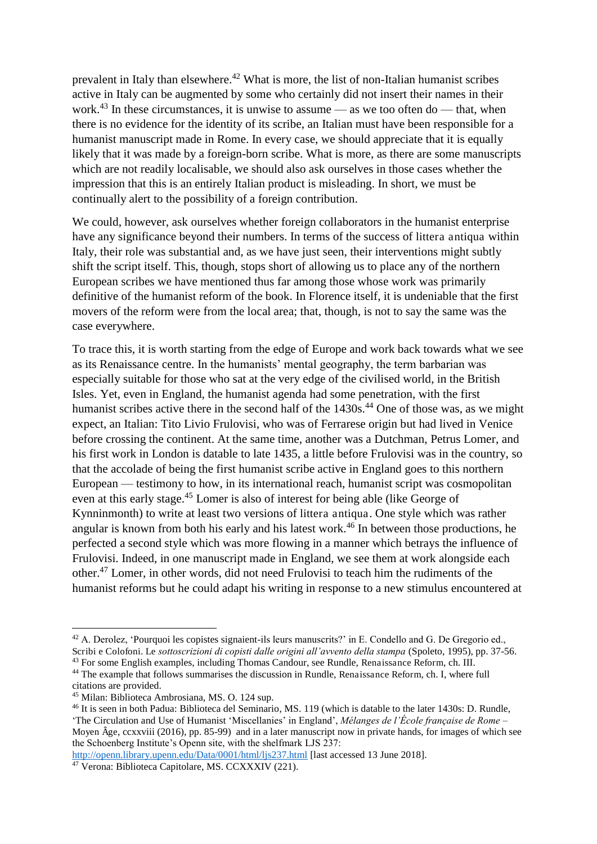prevalent in Italy than elsewhere.<sup>42</sup> What is more, the list of non-Italian humanist scribes active in Italy can be augmented by some who certainly did not insert their names in their work.<sup>43</sup> In these circumstances, it is unwise to assume — as we too often do — that, when there is no evidence for the identity of its scribe, an Italian must have been responsible for a humanist manuscript made in Rome. In every case, we should appreciate that it is equally likely that it was made by a foreign-born scribe. What is more, as there are some manuscripts which are not readily localisable, we should also ask ourselves in those cases whether the impression that this is an entirely Italian product is misleading. In short, we must be continually alert to the possibility of a foreign contribution.

We could, however, ask ourselves whether foreign collaborators in the humanist enterprise have any significance beyond their numbers. In terms of the success of littera antiqua within Italy, their role was substantial and, as we have just seen, their interventions might subtly shift the script itself. This, though, stops short of allowing us to place any of the northern European scribes we have mentioned thus far among those whose work was primarily definitive of the humanist reform of the book. In Florence itself, it is undeniable that the first movers of the reform were from the local area; that, though, is not to say the same was the case everywhere.

To trace this, it is worth starting from the edge of Europe and work back towards what we see as its Renaissance centre. In the humanists' mental geography, the term barbarian was especially suitable for those who sat at the very edge of the civilised world, in the British Isles. Yet, even in England, the humanist agenda had some penetration, with the first humanist scribes active there in the second half of the 1430s.<sup>44</sup> One of those was, as we might expect, an Italian: Tito Livio Frulovisi, who was of Ferrarese origin but had lived in Venice before crossing the continent. At the same time, another was a Dutchman, Petrus Lomer, and his first work in London is datable to late 1435, a little before Frulovisi was in the country, so that the accolade of being the first humanist scribe active in England goes to this northern European — testimony to how, in its international reach, humanist script was cosmopolitan even at this early stage.<sup>45</sup> Lomer is also of interest for being able (like George of Kynninmonth) to write at least two versions of littera antiqua. One style which was rather angular is known from both his early and his latest work.<sup>46</sup> In between those productions, he perfected a second style which was more flowing in a manner which betrays the influence of Frulovisi. Indeed, in one manuscript made in England, we see them at work alongside each other.<sup>47</sup> Lomer, in other words, did not need Frulovisi to teach him the rudiments of the humanist reforms but he could adapt his writing in response to a new stimulus encountered at

<sup>&</sup>lt;sup>42</sup> A. Derolez, 'Pourquoi les copistes signaient-ils leurs manuscrits?' in E. Condello and G. De Gregorio ed., Scribi e Colofoni. Le *sottoscrizioni di copisti dalle origini all'avvento della stampa* (Spoleto, 1995), pp. 37-56.

<sup>43</sup> For some English examples, including Thomas Candour, see Rundle, Renaissance Reform, ch. III. <sup>44</sup> The example that follows summarises the discussion in Rundle, Renaissance Reform, ch. I, where full

citations are provided. <sup>45</sup> Milan: Biblioteca Ambrosiana, MS. O. 124 sup.

<sup>46</sup> It is seen in both Padua: Biblioteca del Seminario, MS. 119 (which is datable to the later 1430s: D. Rundle, 'The Circulation and Use of Humanist 'Miscellanies' in England', *Mélanges de l'École française de Rome –* Moyen Âge, ccxxviii (2016), pp. 85-99) and in a later manuscript now in private hands, for images of which see the Schoenberg Institute's Openn site, with the shelfmark LJS 237:

<http://openn.library.upenn.edu/Data/0001/html/ljs237.html>[last accessed 13 June 2018].

<sup>&</sup>lt;sup>47</sup> Verona: Biblioteca Capitolare, MS. CCXXXIV (221).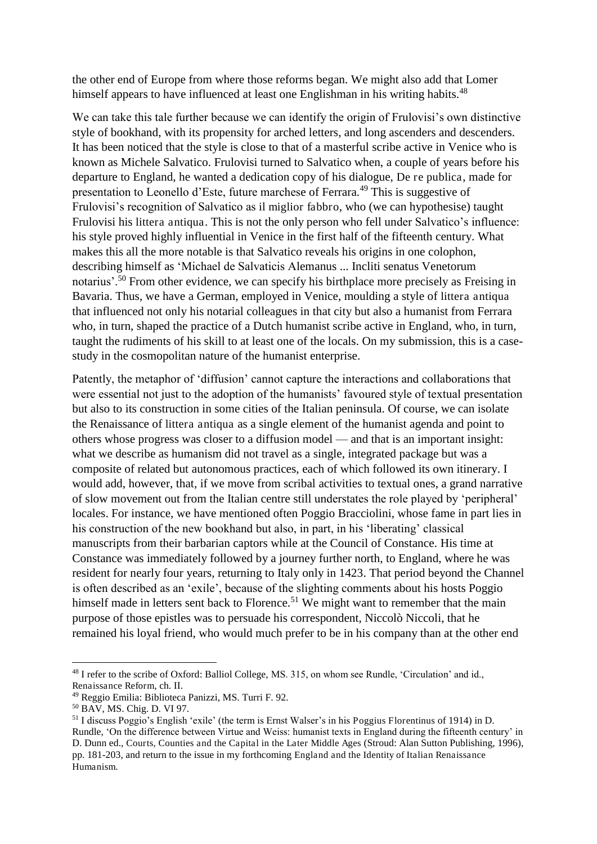the other end of Europe from where those reforms began. We might also add that Lomer himself appears to have influenced at least one Englishman in his writing habits.<sup>48</sup>

We can take this tale further because we can identify the origin of Frulovisi's own distinctive style of bookhand, with its propensity for arched letters, and long ascenders and descenders. It has been noticed that the style is close to that of a masterful scribe active in Venice who is known as Michele Salvatico. Frulovisi turned to Salvatico when, a couple of years before his departure to England, he wanted a dedication copy of his dialogue, De re publica, made for presentation to Leonello d'Este, future marchese of Ferrara.<sup>49</sup> This is suggestive of Frulovisi's recognition of Salvatico as il miglior fabbro, who (we can hypothesise) taught Frulovisi his littera antiqua. This is not the only person who fell under Salvatico's influence: his style proved highly influential in Venice in the first half of the fifteenth century. What makes this all the more notable is that Salvatico reveals his origins in one colophon, describing himself as 'Michael de Salvaticis Alemanus ... Incliti senatus Venetorum notarius'.<sup>50</sup> From other evidence, we can specify his birthplace more precisely as Freising in Bavaria. Thus, we have a German, employed in Venice, moulding a style of littera antiqua that influenced not only his notarial colleagues in that city but also a humanist from Ferrara who, in turn, shaped the practice of a Dutch humanist scribe active in England, who, in turn, taught the rudiments of his skill to at least one of the locals. On my submission, this is a casestudy in the cosmopolitan nature of the humanist enterprise.

Patently, the metaphor of 'diffusion' cannot capture the interactions and collaborations that were essential not just to the adoption of the humanists' favoured style of textual presentation but also to its construction in some cities of the Italian peninsula. Of course, we can isolate the Renaissance of littera antiqua as a single element of the humanist agenda and point to others whose progress was closer to a diffusion model — and that is an important insight: what we describe as humanism did not travel as a single, integrated package but was a composite of related but autonomous practices, each of which followed its own itinerary. I would add, however, that, if we move from scribal activities to textual ones, a grand narrative of slow movement out from the Italian centre still understates the role played by 'peripheral' locales. For instance, we have mentioned often Poggio Bracciolini, whose fame in part lies in his construction of the new bookhand but also, in part, in his 'liberating' classical manuscripts from their barbarian captors while at the Council of Constance. His time at Constance was immediately followed by a journey further north, to England, where he was resident for nearly four years, returning to Italy only in 1423. That period beyond the Channel is often described as an 'exile', because of the slighting comments about his hosts Poggio himself made in letters sent back to Florence.<sup>51</sup> We might want to remember that the main purpose of those epistles was to persuade his correspondent, Niccolò Niccoli, that he remained his loyal friend, who would much prefer to be in his company than at the other end

<sup>48</sup> I refer to the scribe of Oxford: Balliol College, MS. 315, on whom see Rundle, 'Circulation' and id., Renaissance Reform, ch. II.

<sup>49</sup> Reggio Emilia: Biblioteca Panizzi, MS. Turri F. 92.

<sup>50</sup> BAV, MS. Chig. D. VI 97.

<sup>51</sup> I discuss Poggio's English 'exile' (the term is Ernst Walser's in his Poggius Florentinus of 1914) in D. Rundle, 'On the difference between Virtue and Weiss: humanist texts in England during the fifteenth century' in D. Dunn ed., Courts, Counties and the Capital in the Later Middle Ages (Stroud: Alan Sutton Publishing, 1996), pp. 181-203, and return to the issue in my forthcoming England and the Identity of Italian Renaissance Humanism.